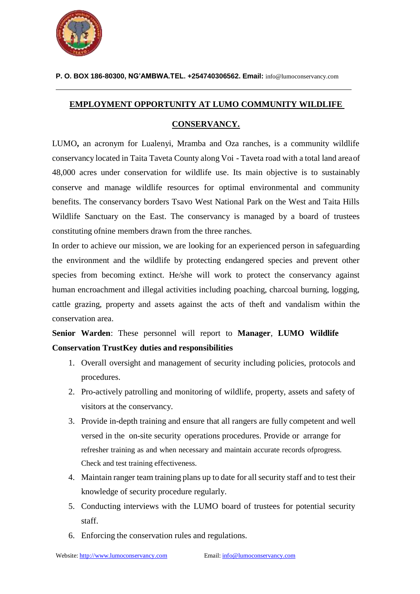

**P. O. BOX 186-80300, NG'AMBWA.TEL. +254740306562. Email:** [info@lumoconservancy.com](mailto:info@lumoconservancy.com)

## **EMPLOYMENT OPPORTUNITY AT LUMO COMMUNITY WILDLIFE**

# **CONSERVANCY.**

LUMO**,** an acronym for Lualenyi, Mramba and Oza ranches, is a community wildlife conservancy located in Taita Taveta County along Voi - Taveta road with a total land areaof 48,000 acres under conservation for wildlife use. Its main objective is to sustainably conserve and manage wildlife resources for optimal environmental and community benefits. The conservancy borders Tsavo West National Park on the West and Taita Hills Wildlife Sanctuary on the East. The conservancy is managed by a board of trustees constituting ofnine members drawn from the three ranches.

In order to achieve our mission, we are looking for an experienced person in safeguarding the environment and the wildlife by protecting endangered species and prevent other species from becoming extinct. He/she will work to protect the conservancy against human encroachment and illegal activities including poaching, charcoal burning, logging, cattle grazing, property and assets against the acts of theft and vandalism within the conservation area.

**Senior Warden**: These personnel will report to **Manager**, **LUMO Wildlife Conservation TrustKey duties and responsibilities**

- 1. Overall oversight and management of security including policies, protocols and procedures.
- 2. Pro-actively patrolling and monitoring of wildlife, property, assets and safety of visitors at the conservancy.
- 3. Provide in-depth training and ensure that all rangers are fully competent and well versed in the on-site security operations procedures. Provide or arrange for refresher training as and when necessary and maintain accurate records ofprogress. Check and test training effectiveness.
- 4. Maintain ranger team training plans up to date for all security staff and to test their knowledge of security procedure regularly.
- 5. Conducting interviews with the LUMO board of trustees for potential security staff.
- 6. Enforcing the conservation rules and regulations.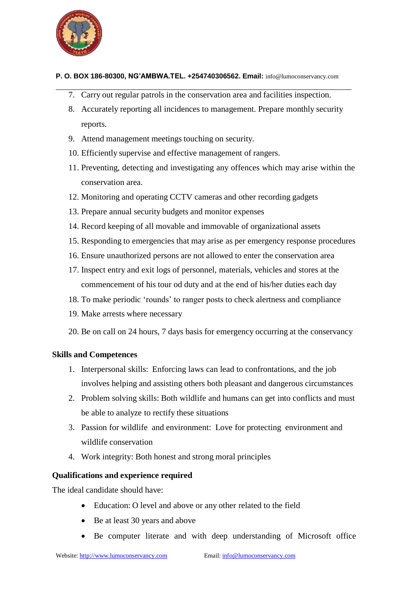

#### **P. O. BOX 186-80300, NG'AMBWA.TEL. +254740306562. Email:** [info@lumoconservancy.com](mailto:info@lumoconservancy.com)

- 7. Carry out regular patrols in the conservation area and facilities inspection.
- 8. Accurately reporting all incidences to management. Prepare monthly security reports.
- 9. Attend management meetings touching on security.
- 10. Efficiently supervise and effective management of rangers.
- 11. Preventing, detecting and investigating any offences which may arise within the conservation area.
- 12. Monitoring and operating CCTV cameras and other recording gadgets
- 13. Prepare annual security budgets and monitor expenses
- 14. Record keeping of all movable and immovable of organizational assets
- 15. Responding to emergencies that may arise as per emergency response procedures
- 16. Ensure unauthorized persons are not allowed to enter the conservation area
- 17. Inspect entry and exit logs of personnel, materials, vehicles and stores at the commencement of his tour od duty and at the end of his/her duties each day
- 18. To make periodic 'rounds' to ranger posts to check alertness and compliance
- 19. Make arrests where necessary
- 20. Be on call on 24 hours, 7 days basis for emergency occurring at the conservancy

## **Skills and Competences**

- 1. Interpersonal skills: Enforcing laws can lead to confrontations, and the job involves helping and assisting others both pleasant and dangerous circumstances
- 2. Problem solving skills: Both wildlife and humans can get into conflicts and must be able to analyze to rectify these situations
- 3. Passion for wildlife and environment: Love for protecting environment and wildlife conservation
- 4. Work integrity: Both honest and strong moral principles

### **Qualifications and experience required**

The ideal candidate should have:

- Education: O level and above or any other related to the field
- Be at least 30 years and above
- Be computer literate and with deep understanding of Microsoft office